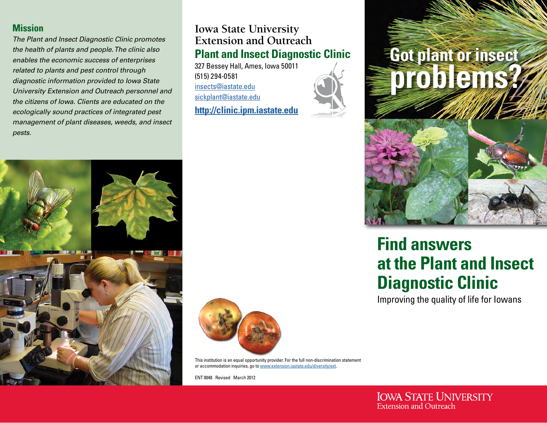#### **Mission**

*The Plant and Insect Diagnostic Clinic promotes the health of plants and people. The clinic also enables the economic success of enterprises related to plants and pest control through diagnostic information provided to Iowa State University Extension and Outreach personnel and the citizens of Iowa. Clients are educated on the ecologically sound practices of integrated pest management of plant diseases, weeds, and insect pests.*

### **Iowa State University Extension and Outreach Plant and Insect Diagnostic Clinic**

327 Bessey Hall, Ames, Iowa 50011 (515) 294-0581 <insects@iastate.edu> <sickplant@iastate.edu>

**<http://clinic.ipm.iastate.edu>**



# **Got plant or insect problems?**



## **Find answers at the Plant and Insect Diagnostic Clinic**

Improving the quality of life for Iowans





This institution is an equal opportunity provider. For the full non-discrimination statement or accommodation inquiries, go to <www.extension.iastate.edu/diversity/ext>.

ENT 0048 Revised March 2012

**IOWA STATE UNIVERSITY Extension and Outreach**